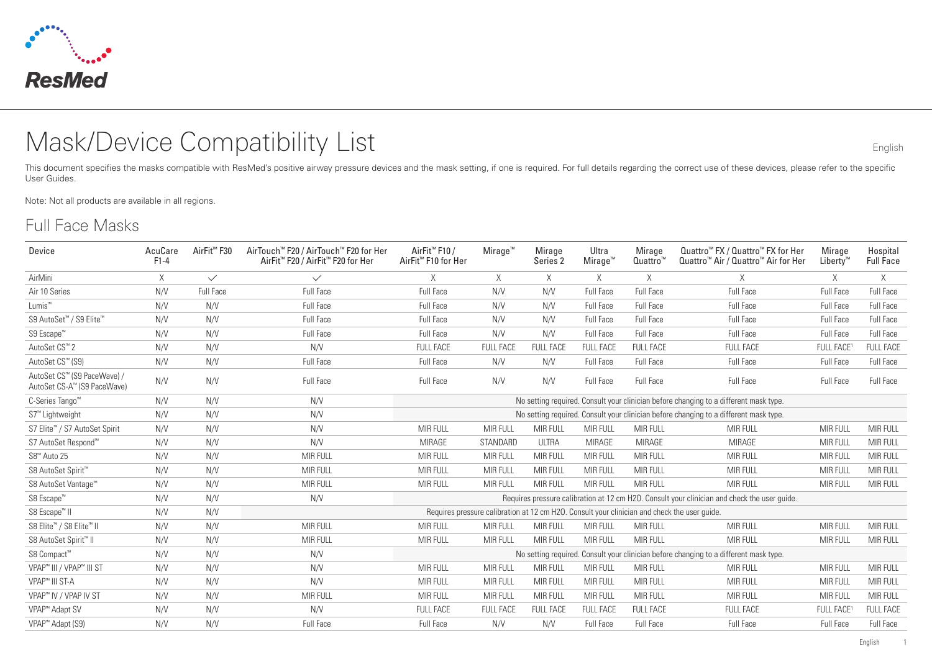

# Mask/Device Compatibility List English

This document specifies the masks compatible with ResMed's positive airway pressure devices and the mask setting, if one is required. For full details regarding the correct use of these devices, please refer to the specific User Guides.

Note: Not all products are available in all regions.

#### Full Face Masks

| Device                                                     | AcuCare<br>$F1-4$ | AirFit <sup>™</sup> F30 | AirTouch <sup>™</sup> F20 / AirTouch™ F20 for Her<br>AirFit <sup>™</sup> F20 / AirFit <sup>™</sup> F20 for Her | AirFit <sup>™</sup> F10 /<br>AirFit <sup>™</sup> F10 for Her                          | $M$ irage <sup>"</sup> | Mirage<br>Series 2 | Ultra<br>Mirage <sup>™</sup>                                                                 | Mirage<br>Quattro <sup>"</sup> | Quattro <sup>™</sup> FX / Quattro™ FX for Her<br>Quattro <sup>™</sup> Air / Quattro <sup>™</sup> Air for Her | Mirage<br>Liberty" | Hospital<br><b>Full Face</b> |
|------------------------------------------------------------|-------------------|-------------------------|----------------------------------------------------------------------------------------------------------------|---------------------------------------------------------------------------------------|------------------------|--------------------|----------------------------------------------------------------------------------------------|--------------------------------|--------------------------------------------------------------------------------------------------------------|--------------------|------------------------------|
| AirMini                                                    | $\times$          | $\checkmark$            | $\checkmark$                                                                                                   | X                                                                                     | X                      | $\times$           | $\times$                                                                                     | X                              | X                                                                                                            | $\times$           | $\times$                     |
| Air 10 Series                                              | N/V               | Full Face               | Full Face                                                                                                      | Full Face                                                                             | N/V                    | N/V                | Full Face                                                                                    | Full Face                      | Full Face                                                                                                    | <b>Full Face</b>   | Full Face                    |
| Lumis <sup>™</sup>                                         | N/V               | N/V                     | Full Face                                                                                                      | Full Face                                                                             | N/V                    | N/V                | Full Face                                                                                    | Full Face                      | Full Face                                                                                                    | Full Face          | <b>Full Face</b>             |
| S9 AutoSet™ / S9 Elite™                                    | N/V               | N/V                     | Full Face                                                                                                      | Full Face                                                                             | N/V                    | N/V                | Full Face                                                                                    | <b>Full Face</b>               | <b>Full Face</b>                                                                                             | Full Face          | Full Face                    |
| S9 Escape <sup>™</sup>                                     | N/V               | N/V                     | Full Face                                                                                                      | Full Face                                                                             | N/V                    | N/V                | Full Face                                                                                    | Full Face                      | Full Face                                                                                                    | Full Face          | Full Face                    |
| AutoSet CS <sup>™</sup> 2                                  | N/V               | N/V                     | N/V                                                                                                            | <b>FULL FACE</b>                                                                      | <b>FULL FACE</b>       | <b>FULL FACE</b>   | <b>FULL FACE</b>                                                                             | <b>FULL FACE</b>               | <b>FULL FACE</b>                                                                                             | <b>FULL FACE</b>   | <b>FULL FACE</b>             |
| AutoSet CS™ (S9)                                           | N/V               | N/V                     | <b>Full Face</b>                                                                                               | Full Face                                                                             | N/V                    | N/V                | Full Face                                                                                    | <b>Full Face</b>               | <b>Full Face</b>                                                                                             | Full Face          | Full Face                    |
| AutoSet CS™ (S9 PaceWave) /<br>AutoSet CS-A™ (S9 PaceWave) | N/V               | N/V                     | Full Face                                                                                                      | Full Face                                                                             | N/V                    | N/V                | Full Face                                                                                    | Full Face                      | Full Face                                                                                                    | Full Face          | Full Face                    |
| C-Series Tango <sup>™</sup>                                | N/V               | N/V                     | N/V                                                                                                            |                                                                                       |                        |                    | No setting required. Consult your clinician before changing to a different mask type.        |                                |                                                                                                              |                    |                              |
| S7 <sup>™</sup> Lightweight                                | N/V               | N/V                     | N/V                                                                                                            | No setting required. Consult your clinician before changing to a different mask type. |                        |                    |                                                                                              |                                |                                                                                                              |                    |                              |
| S7 Elite™ / S7 AutoSet Spirit                              | N/V               | N/V                     | N/V                                                                                                            | MIR FULL                                                                              | <b>MIR FULL</b>        | MIR FULL           | MIR FULL                                                                                     | <b>MIR FULL</b>                | MIR FULL                                                                                                     | <b>MIR FULL</b>    | <b>MIR FULL</b>              |
| S7 AutoSet Respond™                                        | N/V               | N/V                     | N/V                                                                                                            | MIRAGE                                                                                | STANDARD               | <b>ULTRA</b>       | MIRAGE                                                                                       | <b>MIRAGE</b>                  | MIRAGE                                                                                                       | <b>MIR FULL</b>    | <b>MIR FULL</b>              |
| S8 <sup>™</sup> Auto 25                                    | N/V               | N/V                     | <b>MIR FULL</b>                                                                                                | <b>MIR FULL</b>                                                                       | <b>MIR FULL</b>        | MIR FULL           | MIR FULL                                                                                     | <b>MIR FULL</b>                | <b>MIR FULL</b>                                                                                              | MIR FULL           | <b>MIR FULL</b>              |
| S8 AutoSet Spirit <sup>™</sup>                             | N/V               | N/V                     | <b>MIR FULL</b>                                                                                                | MIR FULL                                                                              | <b>MIR FULL</b>        | MIR FULL           | MIR FULL                                                                                     | <b>MIR FULL</b>                | MIR FULL                                                                                                     | <b>MIR FULL</b>    | <b>MIR FULL</b>              |
| S8 AutoSet Vantage™                                        | N/V               | N/V                     | MIR FULL                                                                                                       | <b>MIR FULL</b>                                                                       | MIR FULL               | MIR FULL           | MIR FULL                                                                                     | <b>MIR FULL</b>                | <b>MIR FULL</b>                                                                                              | <b>MIR FULL</b>    | <b>MIR FULL</b>              |
| S8 Escape <sup>™</sup>                                     | N/V               | N/V                     | N/V                                                                                                            |                                                                                       |                        |                    |                                                                                              |                                | Requires pressure calibration at 12 cm H2O. Consult your clinician and check the user quide.                 |                    |                              |
| S8 Escape <sup>™</sup> II                                  | N/V               | N/V                     |                                                                                                                |                                                                                       |                        |                    | Requires pressure calibration at 12 cm H2O. Consult your clinician and check the user quide. |                                |                                                                                                              |                    |                              |
| S8 Elite™ / S8 Elite™ II                                   | N/V               | N/V                     | <b>MIR FULL</b>                                                                                                | <b>MIR FULL</b>                                                                       | <b>MIR FULL</b>        | <b>MIR FULL</b>    | MIR FULL                                                                                     | MIR FULL                       | MIR FULL                                                                                                     | MIR FULL           | <b>MIR FULL</b>              |
| S8 AutoSet Spirit <sup>™</sup> II                          | N/V               | N/V                     | <b>MIR FULL</b>                                                                                                | <b>MIR FULL</b>                                                                       | <b>MIR FULL</b>        | MIR FULL           | <b>MIR FULL</b>                                                                              | <b>MIR FULL</b>                | <b>MIR FULL</b>                                                                                              | MIR FULL           | <b>MIR FULL</b>              |
| S8 Compact™                                                | N/V               | N/V                     | N/V                                                                                                            |                                                                                       |                        |                    |                                                                                              |                                | No setting required. Consult your clinician before changing to a different mask type.                        |                    |                              |
| VPAP <sup>™</sup> III / VPAP™ III ST                       | N/V               | N/V                     | N/V                                                                                                            | MIR FULL                                                                              | <b>MIR FULL</b>        | MIR FULL           | MIR FULL                                                                                     | MIR FULL                       | MIR FULL                                                                                                     | MIR FULL           | MIR FULL                     |
| VPAP <sup>™</sup> III ST-A                                 | N/V               | N/V                     | N/V                                                                                                            | MIR FULL                                                                              | MIR FULL               | MIR FULL           | <b>MIR FULL</b>                                                                              | MIR FULL                       | MIR FULL                                                                                                     | <b>MIR FULL</b>    | <b>MIR FULL</b>              |
| VPAP <sup>™</sup> IV / VPAP IV ST                          | N/V               | N/V                     | MIR FULL                                                                                                       | MIR FULL                                                                              | MIR FULL               | MIR FULL           | <b>MIR FULL</b>                                                                              | MIR FULL                       | MIR FULL                                                                                                     | <b>MIR FULL</b>    | MIR FULL                     |
| VPAP <sup>™</sup> Adapt SV                                 | N/V               | N/V                     | N/V                                                                                                            | <b>FULL FACE</b>                                                                      | <b>FULL FACE</b>       | <b>FULL FACE</b>   | <b>FULL FACE</b>                                                                             | <b>FULL FACE</b>               | <b>FULL FACE</b>                                                                                             | <b>FULL FACE</b>   | <b>FULL FACE</b>             |
| VPAP <sup>™</sup> Adapt (S9)                               | N/V               | N/V                     | Full Face                                                                                                      | Full Face                                                                             | N/V                    | N/V                | Full Face                                                                                    | Full Face                      | Full Face                                                                                                    | Full Face          | Full Face                    |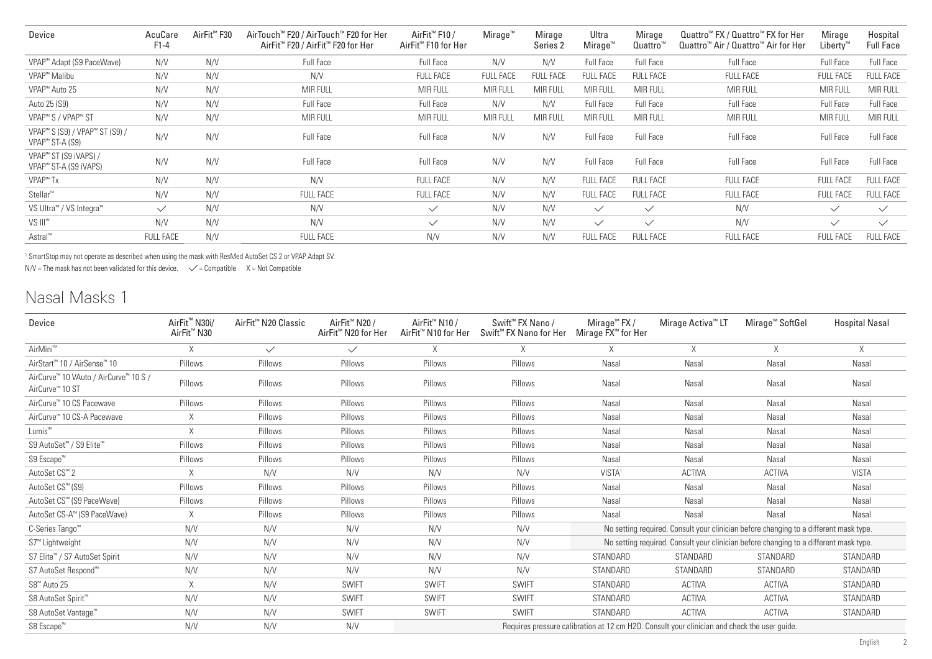| Device                                                                                | AcuCare<br>$F1-4$ | AirFit <sup>™</sup> F30 | AirTouch™ F20 / AirTouch™ F20 for Her<br>AirFit <sup>™</sup> F20 / AirFit <sup>™</sup> F20 for Her | AirFit <sup>™</sup> F10 /<br>AirFit <sup>™</sup> F10 for Her | $M$ irage <sup>"</sup> | Mirage<br>Series <sub>2</sub> | Ultra<br>Mirage" | Mirage<br>Quattro <sup>"</sup> | Quattro <sup>™</sup> FX / Quattro™ FX for Her<br>Quattro <sup>™</sup> Air / Quattro™ Air for Her | Mirage<br>Liberty™ | Hospital<br><b>Full Face</b> |
|---------------------------------------------------------------------------------------|-------------------|-------------------------|----------------------------------------------------------------------------------------------------|--------------------------------------------------------------|------------------------|-------------------------------|------------------|--------------------------------|--------------------------------------------------------------------------------------------------|--------------------|------------------------------|
| VPAP™ Adapt (S9 PaceWave)                                                             | N/V               | N/V                     | <b>Full Face</b>                                                                                   | Full Face                                                    | N/V                    | N/V                           | <b>Full Face</b> | Full Face                      | <b>Full Face</b>                                                                                 | <b>Full Face</b>   | Full Face                    |
| VPAP <sup>™</sup> Malibu                                                              | N/V               | N/V                     | N/V                                                                                                | <b>FULL FACE</b>                                             | <b>FULL FACE</b>       | <b>FULL FACE</b>              | <b>FULL FACE</b> | <b>FULL FACE</b>               | <b>FULL FACE</b>                                                                                 | <b>FULL FACE</b>   | <b>FULL FACE</b>             |
| VPAP <sup>™</sup> Auto 25                                                             | N/V               | N/V                     | <b>MIR FULL</b>                                                                                    | <b>MIR FULL</b>                                              | <b>MIR FULL</b>        | <b>MIR FULL</b>               | <b>MIR FULL</b>  | <b>MIR FULL</b>                | <b>MIR FULL</b>                                                                                  | MIR FULL           | <b>MIR FULL</b>              |
| Auto 25 (S9)                                                                          | N/V               | N/V                     | <b>Full Face</b>                                                                                   | Full Face                                                    | N/V                    | N/V                           | <b>Full Face</b> | Full Face                      | <b>Full Face</b>                                                                                 | <b>Full Face</b>   | Full Face                    |
| VPAP <sup>™</sup> S / VPAP <sup>™</sup> ST                                            | N/V               | N/V                     | <b>MIR FULL</b>                                                                                    | <b>MIR FULL</b>                                              | MIR FULL               | <b>MIR FULL</b>               | MIR FULL         | <b>MIR FULL</b>                | <b>MIR FULL</b>                                                                                  | MIR FULL           | <b>MIR FULL</b>              |
| VPAP <sup>™</sup> S (S9) / VPAP <sup>™</sup> ST (S9) /<br>VPAP <sup>™</sup> ST-A (S9) | N/V               | N/V                     | <b>Full Face</b>                                                                                   | Full Face                                                    | N/V                    | N/V                           | <b>Full Face</b> | Full Face                      | <b>Full Face</b>                                                                                 | <b>Full Face</b>   | Full Face                    |
| VPAP™ ST (S9 iVAPS) /<br>VPAP™ ST-A (S9 iVAPS)                                        | N/V               | N/V                     | <b>Full Face</b>                                                                                   | Full Face                                                    | N/V                    | N/V                           | <b>Full Face</b> | <b>Full Face</b>               | <b>Full Face</b>                                                                                 | <b>Full Face</b>   | Full Face                    |
| VPAP <sup>™</sup> Tx                                                                  | N/V               | N/V                     | N/V                                                                                                | <b>FULL FACE</b>                                             | N/V                    | N/V                           | <b>FULL FACE</b> | <b>FULL FACE</b>               | <b>FULL FACE</b>                                                                                 | <b>FULL FACE</b>   | <b>FULL FACE</b>             |
| Stellar <sup>™</sup>                                                                  | N/V               | N/V                     | <b>FULL FACE</b>                                                                                   | <b>FULL FACE</b>                                             | N/V                    | N/V                           | <b>FULL FACE</b> | <b>FULL FACE</b>               | <b>FULL FACE</b>                                                                                 | FULL FACE          | <b>FULL FACE</b>             |
| VS Ultra <sup>™</sup> / VS Integra <sup>™</sup>                                       | $\checkmark$      | N/V                     | N/V                                                                                                | $\checkmark$                                                 | N/V                    | N/V                           | $\checkmark$     | $\checkmark$                   | N/V                                                                                              | $\checkmark$       | $\checkmark$                 |
| VS III™                                                                               | N/V               | N/V                     | N/V                                                                                                | $\checkmark$                                                 | N/V                    | N/V                           | $\checkmark$     | $\checkmark$                   | N/V                                                                                              | $\checkmark$       | $\checkmark$                 |
| Astral <sup>™</sup>                                                                   | <b>FULL FACE</b>  | N/V                     | <b>FULL FACE</b>                                                                                   | N/V                                                          | N/V                    | N/V                           | <b>FULL FACE</b> | <b>FULL FACE</b>               | <b>FULL FACE</b>                                                                                 | <b>FULL FACE</b>   | <b>FULL FACE</b>             |

1 SmartStop may not operate as described when using the mask with ResMed AutoSet CS 2 or VPAP Adapt SV.

 $N/V$  = The mask has not been validated for this device.  $\checkmark$  = Compatible X = Not Compatible

### Nasal Masks 1

| Device                                                               | AirFit <sup>™</sup> N30i/<br>AirFit <sup>™</sup> N30 | AirFit <sup>™</sup> N20 Classic | AirFit <sup>™</sup> N20 /<br>AirFit <sup>™</sup> N20 for Her | AirFit <sup>™</sup> N10 /<br>AirFit™ N10 for Her | Swift <sup>™</sup> FX Nano /<br>Swift <sup>™</sup> FX Nano for Her | Mirage <sup>™</sup> FX /<br>Mirage FX <sup>™</sup> for Her | Mirage Activa <sup>™</sup> LT                                                                | Mirage <sup>™</sup> SoftGel | <b>Hospital Nasal</b> |
|----------------------------------------------------------------------|------------------------------------------------------|---------------------------------|--------------------------------------------------------------|--------------------------------------------------|--------------------------------------------------------------------|------------------------------------------------------------|----------------------------------------------------------------------------------------------|-----------------------------|-----------------------|
| AirMini <sup>™</sup>                                                 | X                                                    | $\checkmark$                    | $\checkmark$                                                 | X                                                | X.                                                                 | X                                                          | X                                                                                            | Χ                           | X                     |
| AirStart <sup>™</sup> 10 / AirSense™ 10                              | Pillows                                              | Pillows                         | Pillows                                                      | Pillows                                          | Pillows                                                            | Nasal                                                      | Nasal                                                                                        | Nasal                       | Nasal                 |
| AirCurve™ 10 VAuto / AirCurve™ 10 S /<br>AirCurve <sup>™</sup> 10 ST | Pillows                                              | Pillows                         | Pillows                                                      | Pillows                                          | Pillows                                                            | Nasal                                                      | Nasal                                                                                        | Nasal                       | Nasal                 |
| AirCurve™ 10 CS Pacewave                                             | Pillows                                              | Pillows                         | Pillows                                                      | Pillows                                          | Pillows                                                            | Nasal                                                      | Nasal                                                                                        | Nasal                       | Nasal                 |
| AirCurve™ 10 CS-A Pacewave                                           | X                                                    | Pillows                         | Pillows                                                      | Pillows                                          | Pillows                                                            | Nasal                                                      | Nasal                                                                                        | Nasal                       | Nasal                 |
| Lumis <sup>™</sup>                                                   | X                                                    | Pillows                         | Pillows                                                      | Pillows                                          | Pillows                                                            | Nasal                                                      | Nasal                                                                                        | Nasal                       | Nasal                 |
| S9 AutoSet™ / S9 Elite™                                              | Pillows                                              | Pillows                         | Pillows                                                      | Pillows                                          | Pillows                                                            | Nasal                                                      | Nasal                                                                                        | Nasal                       | Nasal                 |
| S9 Escape <sup>™</sup>                                               | Pillows                                              | Pillows                         | Pillows                                                      | Pillows                                          | Pillows                                                            | Nasal                                                      | Nasal                                                                                        | Nasal                       | Nasal                 |
| AutoSet CS <sup>™</sup> 2                                            | X                                                    | N/V                             | N/V                                                          | N/V                                              | N/V                                                                | VISTA <sup>1</sup>                                         | <b>ACTIVA</b>                                                                                | <b>ACTIVA</b>               | <b>VISTA</b>          |
| AutoSet CS™ (S9)                                                     | Pillows                                              | Pillows                         | Pillows                                                      | Pillows                                          | Pillows                                                            | Nasal                                                      | Nasal                                                                                        | Nasal                       | Nasal                 |
| AutoSet CS™ (S9 PaceWave)                                            | Pillows                                              | Pillows                         | Pillows                                                      | Pillows                                          | Pillows                                                            | Nasal                                                      | Nasal                                                                                        | Nasal                       | Nasal                 |
| AutoSet CS-A™ (S9 PaceWave)                                          | X                                                    | Pillows                         | Pillows                                                      | Pillows                                          | Pillows                                                            | Nasal                                                      | Nasal                                                                                        | Nasal                       | Nasal                 |
| C-Series Tango <sup>™</sup>                                          | N/V                                                  | N/V                             | N/V                                                          | N/V                                              | N/V                                                                |                                                            | No setting required. Consult your clinician before changing to a different mask type.        |                             |                       |
| S7 <sup>™</sup> Lightweight                                          | N/V                                                  | N/V                             | N/V                                                          | N/V                                              | N/V                                                                |                                                            | No setting required. Consult your clinician before changing to a different mask type.        |                             |                       |
| S7 Elite™ / S7 AutoSet Spirit                                        | N/V                                                  | N/V                             | N/V                                                          | N/V                                              | N/V                                                                | STANDARD                                                   | STANDARD                                                                                     | STANDARD                    | STANDARD              |
| S7 AutoSet Respond™                                                  | N/V                                                  | N/V                             | N/V                                                          | N/V                                              | N/V                                                                | STANDARD                                                   | STANDARD                                                                                     | STANDARD                    | STANDARD              |
| S8 <sup>™</sup> Auto 25                                              | X                                                    | N/V                             | <b>SWIFT</b>                                                 | <b>SWIFT</b>                                     | <b>SWIFT</b>                                                       | STANDARD                                                   | <b>ACTIVA</b>                                                                                | <b>ACTIVA</b>               | STANDARD              |
| S8 AutoSet Spirit <sup>™</sup>                                       | N/V                                                  | N/V                             | <b>SWIFT</b>                                                 | <b>SWIFT</b>                                     | <b>SWIFT</b>                                                       | STANDARD                                                   | <b>ACTIVA</b>                                                                                | <b>ACTIVA</b>               | STANDARD              |
| S8 AutoSet Vantage™                                                  | N/V                                                  | N/V                             | <b>SWIFT</b>                                                 | <b>SWIFT</b>                                     | <b>SWIFT</b>                                                       | STANDARD                                                   | <b>ACTIVA</b>                                                                                | <b>ACTIVA</b>               | STANDARD              |
| S8 Escape™                                                           | N/V                                                  | N/V                             | N/V                                                          |                                                  |                                                                    |                                                            | Requires pressure calibration at 12 cm H2O. Consult your clinician and check the user quide. |                             |                       |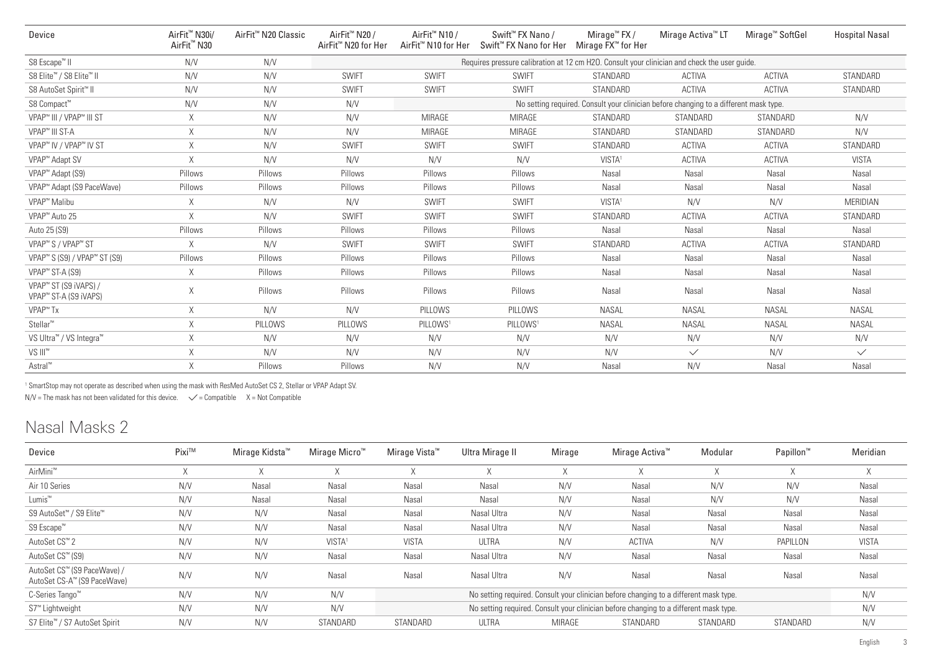| Device                                                                 | AirFit <sup>™</sup> N30i/<br>AirFit <sup>™</sup> N30 | AirFit <sup>™</sup> N20 Classic | AirFit <sup>™</sup> N20 /<br>AirFit <sup>™</sup> N20 for Her | AirFit <sup>™</sup> N10 /<br>AirFit <sup>™</sup> N10 for Her                                 | Swift <sup>™</sup> FX Nano /<br>Swift <sup>™</sup> FX Nano for Her | Mirage <sup>™</sup> FX /<br>Mirage FX™ for Her | Mirage Activa <sup>™</sup> LT                                                         | Mirage <sup>™</sup> SoftGel | <b>Hospital Nasal</b> |  |  |  |  |
|------------------------------------------------------------------------|------------------------------------------------------|---------------------------------|--------------------------------------------------------------|----------------------------------------------------------------------------------------------|--------------------------------------------------------------------|------------------------------------------------|---------------------------------------------------------------------------------------|-----------------------------|-----------------------|--|--|--|--|
| S8 Escape <sup>™</sup> II                                              | N/V                                                  | N/V                             |                                                              | Requires pressure calibration at 12 cm H2O. Consult your clinician and check the user guide. |                                                                    |                                                |                                                                                       |                             |                       |  |  |  |  |
| S8 Elite™ / S8 Elite™ II                                               | N/V                                                  | N/V                             | <b>SWIFT</b>                                                 | <b>SWIFT</b>                                                                                 | <b>SWIFT</b>                                                       | STANDARD                                       | <b>ACTIVA</b>                                                                         | <b>ACTIVA</b>               | STANDARD              |  |  |  |  |
| S8 AutoSet Spirit <sup>™</sup> II                                      | N/V                                                  | N/V                             | <b>SWIFT</b>                                                 | <b>SWIFT</b>                                                                                 | <b>SWIFT</b>                                                       | STANDARD                                       | <b>ACTIVA</b>                                                                         | ACTIVA                      | STANDARD              |  |  |  |  |
| S8 Compact™                                                            | N/V                                                  | N/V                             | N/V                                                          |                                                                                              |                                                                    |                                                | No setting required. Consult your clinician before changing to a different mask type. |                             |                       |  |  |  |  |
| VPAP <sup>™</sup> III / VPAP <sup>™</sup> III ST                       | X                                                    | N/V                             | N/V                                                          | MIRAGE                                                                                       | <b>MIRAGE</b>                                                      | STANDARD                                       | STANDARD                                                                              | STANDARD                    | N/V                   |  |  |  |  |
| VPAP <sup>™</sup> III ST-A                                             | X.                                                   | N/V                             | N/V                                                          | <b>MIRAGE</b>                                                                                | <b>MIRAGE</b>                                                      | STANDARD                                       | STANDARD                                                                              | STANDARD                    | N/V                   |  |  |  |  |
| VPAP <sup>™</sup> IV / VPAP <sup>™</sup> IV ST                         | X                                                    | N/V                             | <b>SWIFT</b>                                                 | <b>SWIFT</b>                                                                                 | <b>SWIFT</b>                                                       | STANDARD                                       | <b>ACTIVA</b>                                                                         | ACTIVA                      | STANDARD              |  |  |  |  |
| VPAP <sup>™</sup> Adapt SV                                             | X                                                    | N/V                             | N/V                                                          | N/V                                                                                          | N/V                                                                | VISTA <sup>1</sup>                             | <b>ACTIVA</b>                                                                         | <b>ACTIVA</b>               | <b>VISTA</b>          |  |  |  |  |
| VPAP <sup>™</sup> Adapt (S9)                                           | Pillows                                              | Pillows                         | Pillows                                                      | Pillows                                                                                      | Pillows                                                            | Nasal                                          | Nasal                                                                                 | Nasal                       | Nasal                 |  |  |  |  |
| VPAP <sup>™</sup> Adapt (S9 PaceWave)                                  | Pillows                                              | Pillows                         | Pillows                                                      | Pillows                                                                                      | Pillows                                                            | Nasal                                          | Nasal                                                                                 | Nasal                       | Nasal                 |  |  |  |  |
| VPAP <sup>™</sup> Malibu                                               | Χ                                                    | N/V                             | N/V                                                          | <b>SWIFT</b>                                                                                 | <b>SWIFT</b>                                                       | VISTA <sup>1</sup>                             | N/V                                                                                   | N/V                         | MERIDIAN              |  |  |  |  |
| VPAP <sup>™</sup> Auto 25                                              | X.                                                   | N/V                             | <b>SWIFT</b>                                                 | <b>SWIFT</b>                                                                                 | <b>SWIFT</b>                                                       | STANDARD                                       | <b>ACTIVA</b>                                                                         | <b>ACTIVA</b>               | STANDARD              |  |  |  |  |
| Auto 25 (S9)                                                           | Pillows                                              | Pillows                         | Pillows                                                      | Pillows                                                                                      | Pillows                                                            | Nasal                                          | Nasal                                                                                 | Nasal                       | Nasal                 |  |  |  |  |
| VPAP <sup>™</sup> S / VPAP <sup>™</sup> ST                             | Χ                                                    | N/V                             | <b>SWIFT</b>                                                 | <b>SWIFT</b>                                                                                 | <b>SWIFT</b>                                                       | STANDARD                                       | <b>ACTIVA</b>                                                                         | <b>ACTIVA</b>               | STANDARD              |  |  |  |  |
| VPAP <sup>™</sup> S (S9) / VPAP™ ST (S9)                               | Pillows                                              | Pillows                         | Pillows                                                      | Pillows                                                                                      | Pillows                                                            | Nasal                                          | Nasal                                                                                 | Nasal                       | Nasal                 |  |  |  |  |
| VPAP <sup>™</sup> ST-A (S9)                                            | X.                                                   | Pillows                         | Pillows                                                      | Pillows                                                                                      | Pillows                                                            | Nasal                                          | Nasal                                                                                 | Nasal                       | Nasal                 |  |  |  |  |
| VPAP <sup>™</sup> ST (S9 iVAPS) /<br>VPAP <sup>™</sup> ST-A (S9 iVAPS) | Χ                                                    | Pillows                         | Pillows                                                      | Pillows                                                                                      | Pillows                                                            | Nasal                                          | Nasal                                                                                 | Nasal                       | Nasal                 |  |  |  |  |
| VPAP <sup>™</sup> Tx                                                   | Χ                                                    | N/V                             | N/V                                                          | PILLOWS                                                                                      | PILLOWS                                                            | <b>NASAL</b>                                   | <b>NASAL</b>                                                                          | <b>NASAL</b>                | <b>NASAL</b>          |  |  |  |  |
| Stellar <sup>™</sup>                                                   | Χ                                                    | PILLOWS                         | PILLOWS                                                      | PILLOWS <sup>1</sup>                                                                         | PILLOWS <sup>1</sup>                                               | <b>NASAL</b>                                   | <b>NASAL</b>                                                                          | <b>NASAL</b>                | <b>NASAL</b>          |  |  |  |  |
| VS Ultra <sup>™</sup> / VS Integra <sup>™</sup>                        | Χ                                                    | N/V                             | N/V                                                          | N/V                                                                                          | N/V                                                                | N/V                                            | N/V                                                                                   | N/V                         | N/V                   |  |  |  |  |
| VS III <sup>™</sup>                                                    | Χ                                                    | N/V                             | N/V                                                          | N/V                                                                                          | N/V                                                                | N/V                                            | $\checkmark$                                                                          | N/V                         | $\checkmark$          |  |  |  |  |
| Astral <sup>™</sup>                                                    | X                                                    | Pillows                         | Pillows                                                      | N/V                                                                                          | N/V                                                                | Nasal                                          | N/V                                                                                   | Nasal                       | Nasal                 |  |  |  |  |

1 SmartStop may not operate as described when using the mask with ResMed AutoSet CS 2, Stellar or VPAP Adapt SV.

 $N/V$  = The mask has not been validated for this device.  $\checkmark$  = Compatible X = Not Compatible

# Nasal Masks 2

| Device                                                     | Pixi™ | Mirage Kidsta <sup>™</sup> | Mirage Micro™      | Mirage Vista™ | Ultra Mirage II | Mirage | Mirage Activa™                                                                        | Modular  | Papillon <sup>™</sup> | Meridian     |
|------------------------------------------------------------|-------|----------------------------|--------------------|---------------|-----------------|--------|---------------------------------------------------------------------------------------|----------|-----------------------|--------------|
| AirMini <sup>™</sup>                                       |       |                            | X                  |               | X               |        | $\Lambda$                                                                             |          |                       | $\wedge$     |
| Air 10 Series                                              | N/V   | Nasal                      | Nasal              | Nasal         | Nasal           | N/V    | Nasal                                                                                 | N/V      | N/V                   | Nasal        |
| Lumis <sup>™</sup>                                         | N/V   | Nasal                      | Nasal              | Nasal         | Nasal           | N/V    | Nasal                                                                                 | N/V      | N/V                   | Nasal        |
| S9 AutoSet™ / S9 Elite™                                    | N/V   | N/V                        | Nasal              | Nasal         | Nasal Ultra     | N/V    | Nasal                                                                                 | Nasal    | Nasal                 | Nasal        |
| S9 Escape <sup>™</sup>                                     | N/V   | N/V                        | Nasal              | Nasal         | Nasal Ultra     | N/V    | Nasal                                                                                 | Nasal    | Nasal                 | Nasal        |
| AutoSet CS <sup>™</sup> 2                                  | N/V   | N/V                        | VISTA <sup>1</sup> | <b>VISTA</b>  | <b>ULTRA</b>    | N/V    | <b>ACTIVA</b>                                                                         | N/V      | PAPILLON              | <b>VISTA</b> |
| AutoSet CS™ (S9)                                           | N/V   | N/V                        | Nasal              | Nasal         | Nasal Ultra     | N/V    | Nasal                                                                                 | Nasal    | Nasal                 | Nasal        |
| AutoSet CS™ (S9 PaceWave) /<br>AutoSet CS-A™ (S9 PaceWave) | N/V   | N/V                        | Nasal              | Nasal         | Nasal Ultra     | N/V    | Nasal                                                                                 | Nasal    | Nasal                 | Nasal        |
| C-Series Tango <sup>™</sup>                                | N/V   | N/V                        | N/V                |               |                 |        | No setting required. Consult your clinician before changing to a different mask type. |          |                       | N/V          |
| S7 <sup>™</sup> Lightweight                                | N/V   | N/V                        | N/V                |               |                 |        | No setting required. Consult your clinician before changing to a different mask type. |          |                       | N/V          |
| S7 Elite™ / S7 AutoSet Spirit                              | N/V   | N/V                        | STANDARD           | STANDARD      | <b>ULTRA</b>    | MIRAGE | STANDARD                                                                              | STANDARD | STANDARD              | N/V          |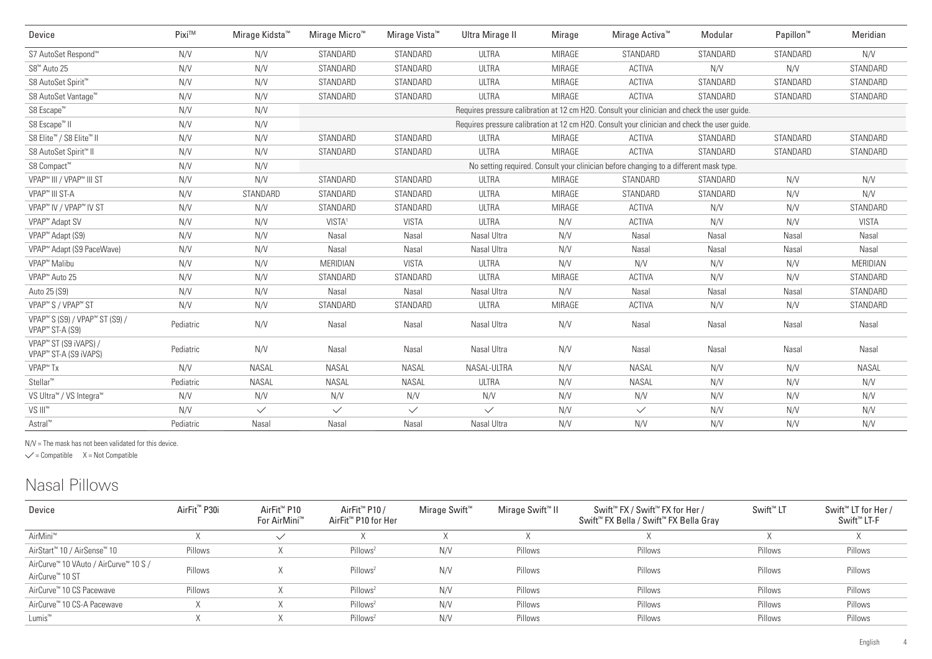| Device                                                                                | Pixi™     | Mirage Kidsta <sup>™</sup> | Mirage Micro <sup>™</sup> | Miraqe Vista™                                                                                | <b>Ultra Mirage II</b> | Mirage        | Mirage Activa <sup>™</sup>                                                                   | Modular  | Papillon <sup>™</sup> | Meridian     |  |  |  |
|---------------------------------------------------------------------------------------|-----------|----------------------------|---------------------------|----------------------------------------------------------------------------------------------|------------------------|---------------|----------------------------------------------------------------------------------------------|----------|-----------------------|--------------|--|--|--|
| S7 AutoSet Respond™                                                                   | N/V       | N/V                        | STANDARD                  | STANDARD                                                                                     | <b>ULTRA</b>           | <b>MIRAGE</b> | STANDARD                                                                                     | STANDARD | STANDARD              | N/V          |  |  |  |
| S8 <sup>™</sup> Auto 25                                                               | N/V       | N/V                        | STANDARD                  | STANDARD                                                                                     | <b>ULTRA</b>           | <b>MIRAGE</b> | <b>ACTIVA</b>                                                                                | N/V      | N/V                   | STANDARD     |  |  |  |
| S8 AutoSet Spirit <sup>™</sup>                                                        | N/V       | N/V                        | STANDARD                  | STANDARD                                                                                     | <b>ULTRA</b>           | <b>MIRAGE</b> | <b>ACTIVA</b>                                                                                | STANDARD | STANDARD              | STANDARD     |  |  |  |
| S8 AutoSet Vantage™                                                                   | N/V       | N/V                        | STANDARD                  | STANDARD                                                                                     | <b>ULTRA</b>           | MIRAGE        | <b>ACTIVA</b>                                                                                | STANDARD | STANDARD              | STANDARD     |  |  |  |
| S8 Escape <sup>™</sup>                                                                | N/V       | N/V                        |                           |                                                                                              |                        |               | Requires pressure calibration at 12 cm H2O. Consult your clinician and check the user quide. |          |                       |              |  |  |  |
| S8 Escape <sup>™</sup> II                                                             | N/V       | N/V                        |                           | Requires pressure calibration at 12 cm H2O. Consult your clinician and check the user guide. |                        |               |                                                                                              |          |                       |              |  |  |  |
| S8 Elite <sup>™</sup> / S8 Elite <sup>™</sup> II                                      | N/V       | N/V                        | STANDARD                  | STANDARD                                                                                     | <b>ULTRA</b>           | MIRAGE        | <b>ACTIVA</b>                                                                                | STANDARD | STANDARD              | STANDARD     |  |  |  |
| S8 AutoSet Spirit™ II                                                                 | N/V       | N/V                        | STANDARD                  | STANDARD                                                                                     | <b>ULTRA</b>           | MIRAGE        | <b>ACTIVA</b>                                                                                | STANDARD | STANDARD              | STANDARD     |  |  |  |
| S8 Compact™                                                                           | N/V       | N/V                        |                           |                                                                                              |                        |               | No setting required. Consult your clinician before changing to a different mask type.        |          |                       |              |  |  |  |
| VPAP <sup>™</sup> III / VPAP <sup>™</sup> III ST                                      | N/V       | N/V                        | STANDARD                  | STANDARD                                                                                     | <b>ULTRA</b>           | MIRAGE        | STANDARD                                                                                     | STANDARD | N/V                   | N/V          |  |  |  |
| VPAP <sup>™</sup> III ST-A                                                            | N/V       | STANDARD                   | STANDARD                  | STANDARD                                                                                     | <b>ULTRA</b>           | MIRAGE        | STANDARD                                                                                     | STANDARD | N/V                   | N/V          |  |  |  |
| VPAP <sup>™</sup> IV / VPAP <sup>™</sup> IV ST                                        | N/V       | N/V                        | STANDARD                  | STANDARD                                                                                     | <b>ULTRA</b>           | <b>MIRAGE</b> | ACTIVA                                                                                       | N/V      | N/V                   | STANDARD     |  |  |  |
| VPAP <sup>™</sup> Adapt SV                                                            | N/V       | N/V                        | VISTA <sup>1</sup>        | <b>VISTA</b>                                                                                 | <b>ULTRA</b>           | N/V           | <b>ACTIVA</b>                                                                                | N/V      | N/V                   | <b>VISTA</b> |  |  |  |
| VPAP <sup>™</sup> Adapt (S9)                                                          | N/V       | N/V                        | Nasal                     | Nasal                                                                                        | Nasal Ultra            | N/V           | Nasal                                                                                        | Nasal    | Nasal                 | Nasal        |  |  |  |
| VPAP <sup>™</sup> Adapt (S9 PaceWave)                                                 | N/V       | N/V                        | Nasal                     | Nasal                                                                                        | Nasal Ultra            | N/V           | Nasal                                                                                        | Nasal    | Nasal                 | Nasal        |  |  |  |
| VPAP <sup>™</sup> Malibu                                                              | N/V       | N/V                        | MERIDIAN                  | <b>VISTA</b>                                                                                 | <b>ULTRA</b>           | N/V           | N/V                                                                                          | N/V      | N/V                   | MERIDIAN     |  |  |  |
| VPAP <sup>™</sup> Auto 25                                                             | N/V       | N/V                        | STANDARD                  | STANDARD                                                                                     | <b>ULTRA</b>           | <b>MIRAGE</b> | <b>ACTIVA</b>                                                                                | N/V      | N/V                   | STANDARD     |  |  |  |
| Auto 25 (S9)                                                                          | N/V       | N/V                        | Nasal                     | Nasal                                                                                        | Nasal Ultra            | N/V           | Nasal                                                                                        | Nasal    | Nasal                 | STANDARD     |  |  |  |
| VPAP <sup>™</sup> S / VPAP <sup>™</sup> ST                                            | N/V       | N/V                        | STANDARD                  | STANDARD                                                                                     | <b>ULTRA</b>           | <b>MIRAGE</b> | <b>ACTIVA</b>                                                                                | N/V      | N/V                   | STANDARD     |  |  |  |
| VPAP <sup>™</sup> S (S9) / VPAP <sup>™</sup> ST (S9) /<br>VPAP <sup>™</sup> ST-A (S9) | Pediatric | N/V                        | Nasal                     | Nasal                                                                                        | Nasal Ultra            | N/V           | Nasal                                                                                        | Nasal    | Nasal                 | Nasal        |  |  |  |
| VPAP <sup>™</sup> ST (S9 iVAPS) /<br>VPAP <sup>™</sup> ST-A (S9 iVAPS)                | Pediatric | N/V                        | Nasal                     | Nasal                                                                                        | Nasal Ultra            | N/V           | Nasal                                                                                        | Nasal    | Nasal                 | Nasal        |  |  |  |
| VPAP <sup>™</sup> Tx                                                                  | N/V       | <b>NASAL</b>               | <b>NASAL</b>              | <b>NASAL</b>                                                                                 | NASAL-ULTRA            | N/V           | <b>NASAL</b>                                                                                 | N/V      | N/V                   | <b>NASAL</b> |  |  |  |
| Stellar <sup>™</sup>                                                                  | Pediatric | <b>NASAL</b>               | <b>NASAL</b>              | <b>NASAL</b>                                                                                 | <b>ULTRA</b>           | N/V           | <b>NASAL</b>                                                                                 | N/V      | N/V                   | N/V          |  |  |  |
| VS Ultra <sup>™</sup> / VS Integra™                                                   | N/V       | N/V                        | N/V                       | N/V                                                                                          | N/V                    | N/V           | N/V                                                                                          | N/V      | N/V                   | N/V          |  |  |  |
| VS III <sup>™</sup>                                                                   | N/V       | $\checkmark$               | $\checkmark$              | $\checkmark$                                                                                 | $\checkmark$           | N/V           | $\checkmark$                                                                                 | N/V      | N/V                   | N/V          |  |  |  |
| Astral™                                                                               | Pediatric | Nasal                      | Nasal                     | Nasal                                                                                        | Nasal Ultra            | N/V           | N/V                                                                                          | N/V      | N/V                   | N/V          |  |  |  |

N/V = The mask has not been validated for this device.

 $\checkmark$  = Compatible  $X = Not$  Compatible

## Nasal Pillows

| Device                                                               | AirFit <sup>™</sup> P30i | AirFit <sup>™</sup> P10<br>For AirMini™ | AirFit <sup>™</sup> P10 /<br>AirFit <sup>™</sup> P10 for Her | Mirage Swift <sup>™</sup> | Mirage Swift™ II | Swift <sup>™</sup> FX / Swift <sup>™</sup> FX for Her /<br>Swift <sup>™</sup> FX Bella / Swift <sup>™</sup> FX Bella Gray | Swift <sup>™</sup> LT | Swift <sup>™</sup> LT for Her /<br>Swift <sup>™</sup> LT-F |
|----------------------------------------------------------------------|--------------------------|-----------------------------------------|--------------------------------------------------------------|---------------------------|------------------|---------------------------------------------------------------------------------------------------------------------------|-----------------------|------------------------------------------------------------|
| AirMini <sup>™</sup>                                                 |                          | $\checkmark$                            |                                                              |                           |                  |                                                                                                                           |                       |                                                            |
| AirStart <sup>™</sup> 10 / AirSense <sup>™</sup> 10                  | Pillows                  |                                         | Pillows <sup>2</sup>                                         | N/V                       | Pillows          | Pillows                                                                                                                   | Pillows               | Pillows                                                    |
| AirCurve™ 10 VAuto / AirCurve™ 10 S /<br>AirCurve <sup>™</sup> 10 ST | Pillows                  |                                         | Pillows <sup>2</sup>                                         | N/V                       | Pillows          | Pillows                                                                                                                   | Pillows               | Pillows                                                    |
| AirCurve™ 10 CS Pacewave                                             | Pillows                  |                                         | Pillows <sup>2</sup>                                         | N/V                       | Pillows          | Pillows                                                                                                                   | Pillows               | Pillows                                                    |
| AirCurve™ 10 CS-A Pacewave                                           |                          |                                         | Pillows <sup>2</sup>                                         | N/V                       | Pillows          | Pillows                                                                                                                   | Pillows               | Pillows                                                    |
| Lumis™                                                               |                          |                                         | Pillows <sup>2</sup>                                         | N/V                       | Pillows          | Pillows                                                                                                                   | Pillows               | Pillows                                                    |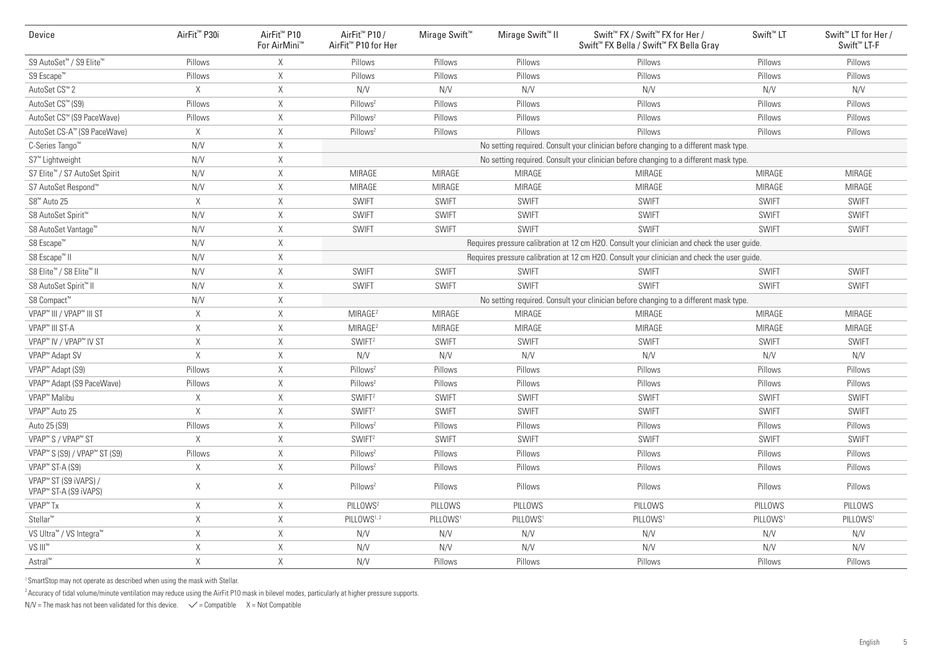| Device                                                     | AirFit <sup>™</sup> P30i | AirFit <sup>™</sup> P10<br>For AirMini™ | AirFit <sup>™</sup> P10 /<br>AirFit <sup>™</sup> P10 for Her | Mirage Swift <sup>™</sup> | Mirage Swift <sup>™</sup> II | Swift™ FX / Swift™ FX for Her /<br>Swift <sup>™</sup> FX Bella / Swift <sup>™</sup> FX Bella Gray | Swift <sup>™</sup> LT | Swift <sup>™</sup> LT for Her /<br>Swift <sup>™</sup> LT-F |
|------------------------------------------------------------|--------------------------|-----------------------------------------|--------------------------------------------------------------|---------------------------|------------------------------|---------------------------------------------------------------------------------------------------|-----------------------|------------------------------------------------------------|
| S9 AutoSet™ / S9 Elite™                                    | Pillows                  | X                                       | Pillows                                                      | Pillows                   | Pillows                      | Pillows                                                                                           | Pillows               | Pillows                                                    |
| S9 Escape™                                                 | Pillows                  | X                                       | Pillows                                                      | Pillows                   | Pillows                      | Pillows                                                                                           | Pillows               | Pillows                                                    |
| AutoSet CS <sup>™</sup> 2                                  | $\times$                 | $\mathsf X$                             | N/V                                                          | N/V                       | N/V                          | N/V                                                                                               | N/V                   | N/V                                                        |
| AutoSet CS™ (S9)                                           | Pillows                  | X                                       | Pillows <sup>2</sup>                                         | Pillows                   | Pillows                      | Pillows                                                                                           | Pillows               | Pillows                                                    |
| AutoSet CS™ (S9 PaceWave)                                  | Pillows                  | $\mathsf X$                             | Pillows <sup>2</sup>                                         | Pillows                   | Pillows                      | Pillows                                                                                           | Pillows               | Pillows                                                    |
| AutoSet CS-A™ (S9 PaceWave)                                | $\mathsf X$              | $\mathsf X$                             | Pillows <sup>2</sup>                                         | Pillows                   | Pillows                      | Pillows                                                                                           | Pillows               | Pillows                                                    |
| C-Series Tango <sup>™</sup>                                | N/V                      | $\mathsf X$                             |                                                              |                           |                              | No setting required. Consult your clinician before changing to a different mask type              |                       |                                                            |
| S7 <sup>™</sup> Lightweight                                | N/V                      | $\mathsf X$                             |                                                              |                           |                              | No setting required. Consult your clinician before changing to a different mask type.             |                       |                                                            |
| S7 Elite™ / S7 AutoSet Spirit                              | N/V                      | $\mathsf X$                             | MIRAGE                                                       | MIRAGE                    | <b>MIRAGE</b>                | <b>MIRAGE</b>                                                                                     | <b>MIRAGE</b>         | MIRAGE                                                     |
| S7 AutoSet Respond <sup>™</sup>                            | N/V                      | $\mathsf X$                             | MIRAGE                                                       | MIRAGE                    | <b>MIRAGE</b>                | <b>MIRAGE</b>                                                                                     | <b>MIRAGE</b>         | <b>MIRAGE</b>                                              |
| S8 <sup>™</sup> Auto 25                                    | Χ                        | $\mathsf X$                             | <b>SWIFT</b>                                                 | <b>SWIFT</b>              | <b>SWIFT</b>                 | <b>SWIFT</b>                                                                                      | <b>SWIFT</b>          | <b>SWIFT</b>                                               |
| S8 AutoSet Spirit <sup>™</sup>                             | N/V                      | $\mathsf X$                             | <b>SWIFT</b>                                                 | <b>SWIFT</b>              | <b>SWIFT</b>                 | <b>SWIFT</b>                                                                                      | <b>SWIFT</b>          | <b>SWIFT</b>                                               |
| S8 AutoSet Vantage™                                        | N/V                      | $\mathsf X$                             | <b>SWIFT</b>                                                 | <b>SWIFT</b>              | <b>SWIFT</b>                 | <b>SWIFT</b>                                                                                      | <b>SWIFT</b>          | <b>SWIFT</b>                                               |
| S8 Escape <sup>™</sup>                                     | N/V                      | $\mathsf X$                             |                                                              |                           |                              | Requires pressure calibration at 12 cm H2O. Consult your clinician and check the user guide.      |                       |                                                            |
| S8 Escape <sup>™</sup> II                                  | N/V                      | $\mathsf X$                             |                                                              |                           |                              | Requires pressure calibration at 12 cm H2O. Consult your clinician and check the user guide.      |                       |                                                            |
| S8 Elite™ / S8 Elite™ II                                   | N/V                      | $\times$                                | <b>SWIFT</b>                                                 | <b>SWIFT</b>              | <b>SWIFT</b>                 | <b>SWIFT</b>                                                                                      | <b>SWIFT</b>          | <b>SWIFT</b>                                               |
| S8 AutoSet Spirit™ II                                      | N/V                      | $\mathsf X$                             | <b>SWIFT</b>                                                 | <b>SWIFT</b>              | <b>SWIFT</b>                 | <b>SWIFT</b>                                                                                      | <b>SWIFT</b>          | <b>SWIFT</b>                                               |
| S8 Compact™                                                | N/V                      | Χ                                       |                                                              |                           |                              | No setting required. Consult your clinician before changing to a different mask type.             |                       |                                                            |
| VPAP™ III / VPAP™ III ST                                   | X                        | $\times$                                | MIRAGE <sup>2</sup>                                          | MIRAGE                    | MIRAGE                       | <b>MIRAGE</b>                                                                                     | <b>MIRAGE</b>         | <b>MIRAGE</b>                                              |
| VPAP <sup>™</sup> III ST-A                                 | $\mathsf X$              | $\times$                                | MIRAGE <sup>2</sup>                                          | <b>MIRAGE</b>             | <b>MIRAGE</b>                | <b>MIRAGE</b>                                                                                     | <b>MIRAGE</b>         | <b>MIRAGE</b>                                              |
| VPAP™ IV / VPAP™ IV ST                                     | $\mathsf X$              | $\times$                                | SWIFT <sup>2</sup>                                           | <b>SWIFT</b>              | <b>SWIFT</b>                 | <b>SWIFT</b>                                                                                      | <b>SWIFT</b>          | <b>SWIFT</b>                                               |
| VPAP <sup>™</sup> Adapt SV                                 | $\times$                 | X                                       | N/V                                                          | N/V                       | N/V                          | N/V                                                                                               | N/V                   | N/V                                                        |
| VPAP <sup>™</sup> Adapt (S9)                               | Pillows                  | X                                       | Pillows <sup>2</sup>                                         | Pillows                   | Pillows                      | Pillows                                                                                           | Pillows               | Pillows                                                    |
| VPAP <sup>™</sup> Adapt (S9 PaceWave)                      | Pillows                  | Χ                                       | Pillows <sup>2</sup>                                         | Pillows                   | Pillows                      | Pillows                                                                                           | Pillows               | Pillows                                                    |
| VPAP <sup>™</sup> Malibu                                   | X                        | $\mathsf X$                             | SWIFT <sup>2</sup>                                           | <b>SWIFT</b>              | <b>SWIFT</b>                 | <b>SWIFT</b>                                                                                      | <b>SWIFT</b>          | <b>SWIFT</b>                                               |
| VPAP <sup>™</sup> Auto 25                                  | $\mathsf X$              | $\mathsf X$                             | SWIFT <sup>2</sup>                                           | <b>SWIFT</b>              | <b>SWIFT</b>                 | <b>SWIFT</b>                                                                                      | <b>SWIFT</b>          | <b>SWIFT</b>                                               |
| Auto 25 (S9)                                               | Pillows                  | $\mathsf X$                             | Pillows <sup>2</sup>                                         | Pillows                   | Pillows                      | Pillows                                                                                           | Pillows               | Pillows                                                    |
| VPAP <sup>™</sup> S / VPAP <sup>™</sup> ST                 | $\times$                 | $\mathsf X$                             | SWIFT <sup>2</sup>                                           | <b>SWIFT</b>              | <b>SWIFT</b>                 | <b>SWIFT</b>                                                                                      | <b>SWIFT</b>          | <b>SWIFT</b>                                               |
| VPAP <sup>™</sup> S (S9) / VPAP <sup>™</sup> ST (S9)       | Pillows                  | $\mathsf X$                             | Pillows <sup>2</sup>                                         | Pillows                   | Pillows                      | Pillows                                                                                           | Pillows               | Pillows                                                    |
| VPAP <sup>™</sup> ST-A (S9)                                | X                        | $\mathsf X$                             | Pillows <sup>2</sup>                                         | Pillows                   | Pillows                      | Pillows                                                                                           | Pillows               | Pillows                                                    |
| VPAP <sup>™</sup> ST (S9 iVAPS) /<br>VPAP™ ST-A (S9 iVAPS) | X                        | X                                       | Pillows <sup>2</sup>                                         | Pillows                   | Pillows                      | Pillows                                                                                           | Pillows               | Pillows                                                    |
| VPAP <sup>™</sup> Tx                                       | $\mathsf X$              | $\mathsf X$                             | PILLOWS <sup>2</sup>                                         | PILLOWS                   | PILLOWS                      | PILLOWS                                                                                           | PILLOWS               | PILLOWS                                                    |
| Stellar <sup>™</sup>                                       | $\mathsf X$              | $\mathsf X$                             | PILLOWS <sup>1,2</sup>                                       | PILLOWS <sup>1</sup>      | PILLOWS <sup>1</sup>         | PILLOWS <sup>®</sup>                                                                              | PILLOWS <sup>1</sup>  | PILLOWS <sup>1</sup>                                       |
| VS Ultra <sup>™</sup> / VS Integra <sup>™</sup>            | $\mathsf X$              | $\mathsf X$                             | N/V                                                          | N/V                       | N/V                          | N/V                                                                                               | N/V                   | N/V                                                        |
| VS III <sup>™</sup>                                        | Χ                        | Χ                                       | N/V                                                          | N/V                       | N/V                          | N/V                                                                                               | N/V                   | N/V                                                        |
| Astral™                                                    | $\mathsf X$              | $\mathsf X$                             | N/V                                                          | Pillows                   | Pillows                      | Pillows                                                                                           | Pillows               | Pillows                                                    |

<sup>1</sup> SmartStop may not operate as described when using the mask with Stellar.

 $^{2}$ Accuracy of tidal volume/minute ventilation may reduce using the AirFit P10 mask in bilevel modes, particularly at higher pressure supports.

 $N/V$  = The mask has not been validated for this device.  $\checkmark$  = Compatible X = Not Compatible